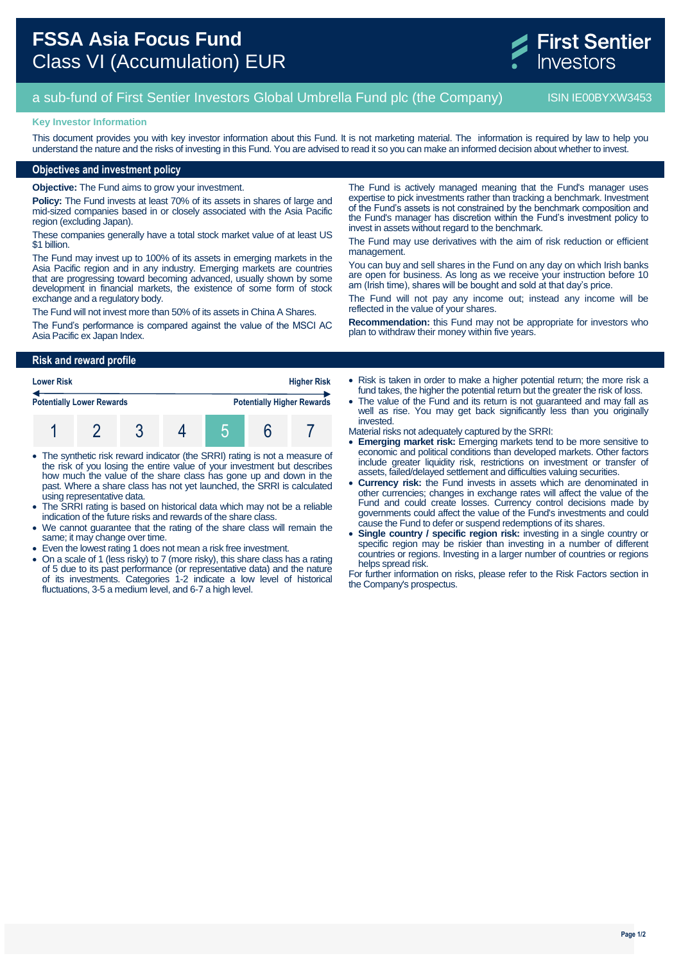# **FSSA Asia Focus Fund** Class VI (Accumulation) EUR

a sub-fund of First Sentier Investors Global Umbrella Fund plc (the Company) ISIN IE00BYXW3453

#### **Key Investor Information**

This document provides you with key investor information about this Fund. It is not marketing material. The information is required by law to help you understand the nature and the risks of investing in this Fund. You are advised to read it so you can make an informed decision about whether to invest.

## **Objectives and investment policy**

**Objective:** The Fund aims to grow your investment.

**Policy:** The Fund invests at least 70% of its assets in shares of large and mid-sized companies based in or closely associated with the Asia Pacific region (excluding Japan).

These companies generally have a total stock market value of at least US \$1 billion.

The Fund may invest up to 100% of its assets in emerging markets in the Asia Pacific region and in any industry. Emerging markets are countries that are progressing toward becoming advanced, usually shown by some development in financial markets, the existence of some form of stock exchange and a regulatory body.

The Fund will not invest more than 50% of its assets in China A Shares.

The Fund's performance is compared against the value of the MSCI AC Asia Pacific ex Japan Index.

The Fund is actively managed meaning that the Fund's manager uses expertise to pick investments rather than tracking a benchmark. Investment of the Fund's assets is not constrained by the benchmark composition and the Fund's manager has discretion within the Fund's investment policy to invest in assets without regard to the benchmark.

The Fund may use derivatives with the aim of risk reduction or efficient management.

You can buy and sell shares in the Fund on any day on which Irish banks are open for business. As long as we receive your instruction before 10 am (Irish time), shares will be bought and sold at that day's price.

The Fund will not pay any income out; instead any income will be reflected in the value of your shares.

**Recommendation:** this Fund may not be appropriate for investors who plan to withdraw their money within five years.

#### **Risk and reward profile**

| <b>Lower Risk</b>                |  |  |  | <b>Higher Risk</b> |  |                                   |  |
|----------------------------------|--|--|--|--------------------|--|-----------------------------------|--|
| <b>Potentially Lower Rewards</b> |  |  |  |                    |  | <b>Potentially Higher Rewards</b> |  |
|                                  |  |  |  |                    |  |                                   |  |

- The synthetic risk reward indicator (the SRRI) rating is not a measure of the risk of you losing the entire value of your investment but describes how much the value of the share class has gone up and down in the past. Where a share class has not yet launched, the SRRI is calculated using representative data.
- The SRRI rating is based on historical data which may not be a reliable indication of the future risks and rewards of the share class.
- We cannot guarantee that the rating of the share class will remain the same; it may change over time.
- Even the lowest rating 1 does not mean a risk free investment.
- On a scale of 1 (less risky) to 7 (more risky), this share class has a rating of 5 due to its past performance (or representative data) and the nature of its investments. Categories 1-2 indicate a low level of historical fluctuations, 3-5 a medium level, and 6-7 a high level.

• Risk is taken in order to make a higher potential return; the more risk a fund takes, the higher the potential return but the greater the risk of loss.

- The value of the Fund and its return is not guaranteed and may fall as well as rise. You may get back significantly less than you originally invested.
- Material risks not adequately captured by the SRRI:
- **Emerging market risk:** Emerging markets tend to be more sensitive to economic and political conditions than developed markets. Other factors include greater liquidity risk, restrictions on investment or transfer of assets, failed/delayed settlement and difficulties valuing securities.
- **Currency risk:** the Fund invests in assets which are denominated in other currencies; changes in exchange rates will affect the value of the Fund and could create losses. Currency control decisions made by governments could affect the value of the Fund's investments and could cause the Fund to defer or suspend redemptions of its shares.
- **Single country / specific region risk:** investing in a single country or specific region may be riskier than investing in a number of different countries or regions. Investing in a larger number of countries or regions helps spread risk.

For further information on risks, please refer to the Risk Factors section in the Company's prospectus.

**First Sentier**